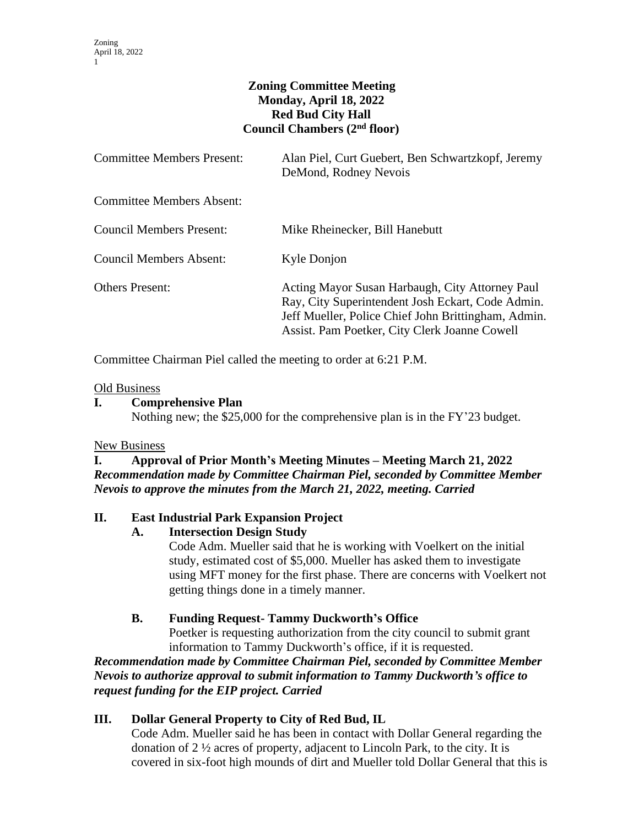# **Zoning Committee Meeting Monday, April 18, 2022 Red Bud City Hall Council Chambers (2nd floor)**

| <b>Committee Members Present:</b> | Alan Piel, Curt Guebert, Ben Schwartzkopf, Jeremy<br>DeMond, Rodney Nevois                                                                                                                                   |
|-----------------------------------|--------------------------------------------------------------------------------------------------------------------------------------------------------------------------------------------------------------|
| <b>Committee Members Absent:</b>  |                                                                                                                                                                                                              |
| Council Members Present:          | Mike Rheinecker, Bill Hanebutt                                                                                                                                                                               |
| Council Members Absent:           | Kyle Donjon                                                                                                                                                                                                  |
| <b>Others Present:</b>            | Acting Mayor Susan Harbaugh, City Attorney Paul<br>Ray, City Superintendent Josh Eckart, Code Admin.<br>Jeff Mueller, Police Chief John Brittingham, Admin.<br>Assist. Pam Poetker, City Clerk Joanne Cowell |

Committee Chairman Piel called the meeting to order at 6:21 P.M.

#### Old Business

### **I. Comprehensive Plan**

Nothing new; the \$25,000 for the comprehensive plan is in the FY'23 budget.

### New Business

### **I. Approval of Prior Month's Meeting Minutes – Meeting March 21, 2022** *Recommendation made by Committee Chairman Piel, seconded by Committee Member Nevois to approve the minutes from the March 21, 2022, meeting. Carried*

### **II. East Industrial Park Expansion Project**

### **A. Intersection Design Study**

Code Adm. Mueller said that he is working with Voelkert on the initial study, estimated cost of \$5,000. Mueller has asked them to investigate using MFT money for the first phase. There are concerns with Voelkert not getting things done in a timely manner.

### **B. Funding Request- Tammy Duckworth's Office**

Poetker is requesting authorization from the city council to submit grant information to Tammy Duckworth's office, if it is requested.

*Recommendation made by Committee Chairman Piel, seconded by Committee Member Nevois to authorize approval to submit information to Tammy Duckworth's office to request funding for the EIP project. Carried*

### **III. Dollar General Property to City of Red Bud, IL**

Code Adm. Mueller said he has been in contact with Dollar General regarding the donation of 2 ½ acres of property, adjacent to Lincoln Park, to the city. It is covered in six-foot high mounds of dirt and Mueller told Dollar General that this is